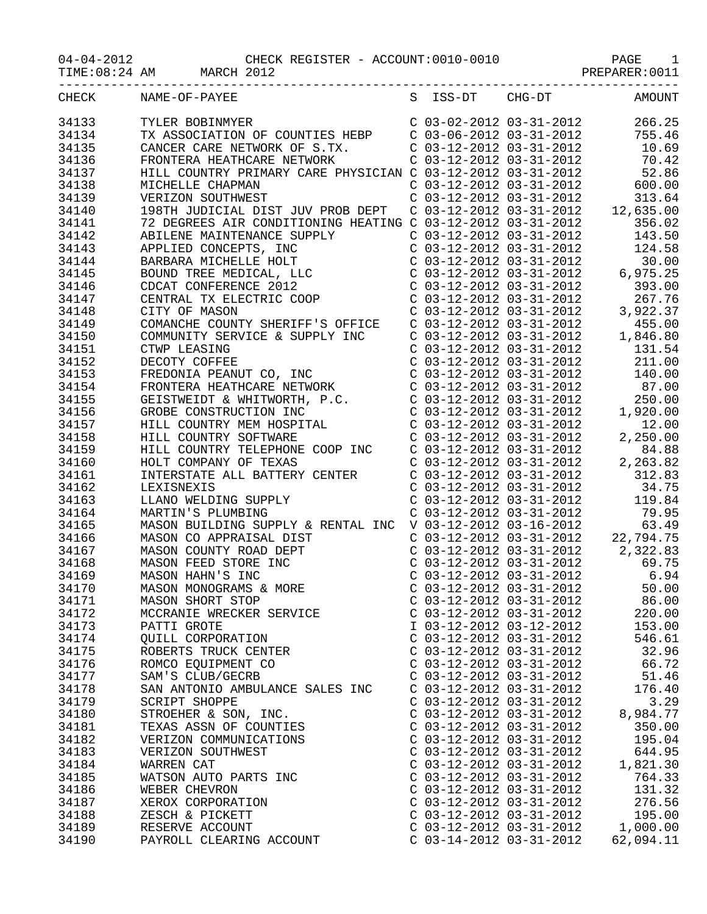04-04-2012 CHECK<br>TIME:08:24 AM MARCH 2012

| CHECK | NAME-OF-PAYEE                                                                                                                                                                                                                                    |                           |                           | S ISS-DT CHG-DT AMOUNT                                                                                                                 |
|-------|--------------------------------------------------------------------------------------------------------------------------------------------------------------------------------------------------------------------------------------------------|---------------------------|---------------------------|----------------------------------------------------------------------------------------------------------------------------------------|
| 34133 |                                                                                                                                                                                                                                                  |                           |                           |                                                                                                                                        |
| 34134 |                                                                                                                                                                                                                                                  |                           |                           |                                                                                                                                        |
| 34135 |                                                                                                                                                                                                                                                  |                           |                           |                                                                                                                                        |
| 34136 |                                                                                                                                                                                                                                                  |                           |                           |                                                                                                                                        |
|       |                                                                                                                                                                                                                                                  |                           |                           |                                                                                                                                        |
| 34137 |                                                                                                                                                                                                                                                  |                           |                           |                                                                                                                                        |
| 34138 |                                                                                                                                                                                                                                                  |                           |                           |                                                                                                                                        |
| 34139 |                                                                                                                                                                                                                                                  |                           |                           |                                                                                                                                        |
| 34140 |                                                                                                                                                                                                                                                  |                           |                           |                                                                                                                                        |
| 34141 |                                                                                                                                                                                                                                                  |                           |                           |                                                                                                                                        |
| 34142 |                                                                                                                                                                                                                                                  |                           |                           |                                                                                                                                        |
| 34143 |                                                                                                                                                                                                                                                  |                           |                           |                                                                                                                                        |
| 34144 |                                                                                                                                                                                                                                                  |                           |                           |                                                                                                                                        |
| 34145 |                                                                                                                                                                                                                                                  |                           |                           |                                                                                                                                        |
| 34146 |                                                                                                                                                                                                                                                  |                           |                           |                                                                                                                                        |
| 34147 |                                                                                                                                                                                                                                                  |                           |                           |                                                                                                                                        |
| 34148 |                                                                                                                                                                                                                                                  |                           |                           |                                                                                                                                        |
|       | ABILENE MAINTENANCE SUPPLY<br>APPLIED CONCEPTS, INC<br>APPLIED CONCEPTS, INC<br>BARBARA MICHELLE HOLT<br>BOUND TREE MEDICAL, LLC<br>CO3-12-2012 03-31-2012<br>CO3-12-2012 03-31-2012<br>CO3-12-2012 03-31-2012<br>6,975.25<br>COCAT CONFERENCE 2 |                           |                           |                                                                                                                                        |
| 34149 | COMANCHE COUNTY SHERIFF'S OFFICE                                                                                                                                                                                                                 |                           |                           |                                                                                                                                        |
| 34150 | COMMUNITY SERVICE & SUPPLY INC                                                                                                                                                                                                                   |                           |                           |                                                                                                                                        |
| 34151 |                                                                                                                                                                                                                                                  |                           |                           |                                                                                                                                        |
| 34152 | CTWP LEASING<br>DECOTY COFFEE<br>FREDONIA PEANUT CO, INC                                                                                                                                                                                         |                           |                           | C 03-12-2012 03-31-2012 455.00<br>C 03-12-2012 03-31-2012 1,846.80<br>C 03-12-2012 03-31-2012 131.54<br>C 03-12-2012 03-31-2012 211.00 |
| 34153 |                                                                                                                                                                                                                                                  |                           |                           | $C$ 03-12-2012 03-31-2012 140.00                                                                                                       |
| 34154 |                                                                                                                                                                                                                                                  |                           |                           |                                                                                                                                        |
| 34155 |                                                                                                                                                                                                                                                  |                           |                           |                                                                                                                                        |
| 34156 |                                                                                                                                                                                                                                                  |                           |                           |                                                                                                                                        |
| 34157 |                                                                                                                                                                                                                                                  |                           |                           |                                                                                                                                        |
| 34158 | FREDONIA PEANUT CO, INC<br>FRONTERA HEATHCARE NETWORK<br>GEISTWEIDT & WHITWORTH, P.C.<br>GEISTWEIDT & WHITWORTH, P.C.<br>GROBE CONSTRUCTION INC<br>C 03-12-2012 03-31-2012<br>C 03-12-2012 03-31-2012<br>C 03-12-2012 03-31-2012<br>HILL COUNT   |                           |                           |                                                                                                                                        |
| 34159 |                                                                                                                                                                                                                                                  |                           |                           |                                                                                                                                        |
| 34160 |                                                                                                                                                                                                                                                  |                           |                           |                                                                                                                                        |
|       |                                                                                                                                                                                                                                                  |                           |                           |                                                                                                                                        |
| 34161 |                                                                                                                                                                                                                                                  |                           |                           |                                                                                                                                        |
| 34162 |                                                                                                                                                                                                                                                  |                           |                           |                                                                                                                                        |
| 34163 |                                                                                                                                                                                                                                                  |                           |                           |                                                                                                                                        |
| 34164 |                                                                                                                                                                                                                                                  |                           |                           |                                                                                                                                        |
| 34165 |                                                                                                                                                                                                                                                  |                           |                           |                                                                                                                                        |
| 34166 |                                                                                                                                                                                                                                                  |                           |                           |                                                                                                                                        |
| 34167 |                                                                                                                                                                                                                                                  |                           |                           |                                                                                                                                        |
| 34168 |                                                                                                                                                                                                                                                  |                           |                           |                                                                                                                                        |
| 34169 |                                                                                                                                                                                                                                                  |                           |                           |                                                                                                                                        |
| 34170 |                                                                                                                                                                                                                                                  |                           |                           |                                                                                                                                        |
| 34171 | MASON SHORT STOP                                                                                                                                                                                                                                 |                           | $C$ 03-12-2012 03-31-2012 | 86.00                                                                                                                                  |
| 34172 | MCCRANIE WRECKER SERVICE                                                                                                                                                                                                                         | $C$ 03-12-2012 03-31-2012 |                           | 220.00                                                                                                                                 |
| 34173 | PATTI GROTE                                                                                                                                                                                                                                      | I 03-12-2012 03-12-2012   |                           | 153.00                                                                                                                                 |
| 34174 | QUILL CORPORATION                                                                                                                                                                                                                                | $C$ 03-12-2012 03-31-2012 |                           | 546.61                                                                                                                                 |
| 34175 | ROBERTS TRUCK CENTER                                                                                                                                                                                                                             | $C$ 03-12-2012 03-31-2012 |                           | 32.96                                                                                                                                  |
| 34176 | ROMCO EQUIPMENT CO                                                                                                                                                                                                                               | $C$ 03-12-2012 03-31-2012 |                           | 66.72                                                                                                                                  |
| 34177 |                                                                                                                                                                                                                                                  |                           |                           |                                                                                                                                        |
|       | SAM'S CLUB/GECRB                                                                                                                                                                                                                                 | C 03-12-2012 03-31-2012   |                           | 51.46                                                                                                                                  |
| 34178 | SAN ANTONIO AMBULANCE SALES INC                                                                                                                                                                                                                  | $C$ 03-12-2012 03-31-2012 |                           | 176.40                                                                                                                                 |
| 34179 | SCRIPT SHOPPE                                                                                                                                                                                                                                    | $C$ 03-12-2012 03-31-2012 |                           | 3.29                                                                                                                                   |
| 34180 | STROEHER & SON, INC.                                                                                                                                                                                                                             | $C$ 03-12-2012 03-31-2012 |                           | 8,984.77                                                                                                                               |
| 34181 | TEXAS ASSN OF COUNTIES                                                                                                                                                                                                                           | $C$ 03-12-2012 03-31-2012 |                           | 350.00                                                                                                                                 |
| 34182 | VERIZON COMMUNICATIONS                                                                                                                                                                                                                           | $C$ 03-12-2012 03-31-2012 |                           | 195.04                                                                                                                                 |
| 34183 | VERIZON SOUTHWEST                                                                                                                                                                                                                                | $C$ 03-12-2012 03-31-2012 |                           | 644.95                                                                                                                                 |
| 34184 | WARREN CAT                                                                                                                                                                                                                                       | $C$ 03-12-2012 03-31-2012 |                           | 1,821.30                                                                                                                               |
| 34185 | WATSON AUTO PARTS INC                                                                                                                                                                                                                            | $C$ 03-12-2012 03-31-2012 |                           | 764.33                                                                                                                                 |
| 34186 | WEBER CHEVRON                                                                                                                                                                                                                                    | $C$ 03-12-2012 03-31-2012 |                           | 131.32                                                                                                                                 |
| 34187 | XEROX CORPORATION                                                                                                                                                                                                                                | $C$ 03-12-2012 03-31-2012 |                           | 276.56                                                                                                                                 |
| 34188 | ZESCH & PICKETT                                                                                                                                                                                                                                  | C 03-12-2012 03-31-2012   |                           | 195.00                                                                                                                                 |
| 34189 | RESERVE ACCOUNT                                                                                                                                                                                                                                  | $C$ 03-12-2012 03-31-2012 |                           | 1,000.00                                                                                                                               |
|       |                                                                                                                                                                                                                                                  |                           |                           |                                                                                                                                        |
| 34190 | PAYROLL CLEARING ACCOUNT                                                                                                                                                                                                                         | $C$ 03-14-2012 03-31-2012 |                           | 62,094.11                                                                                                                              |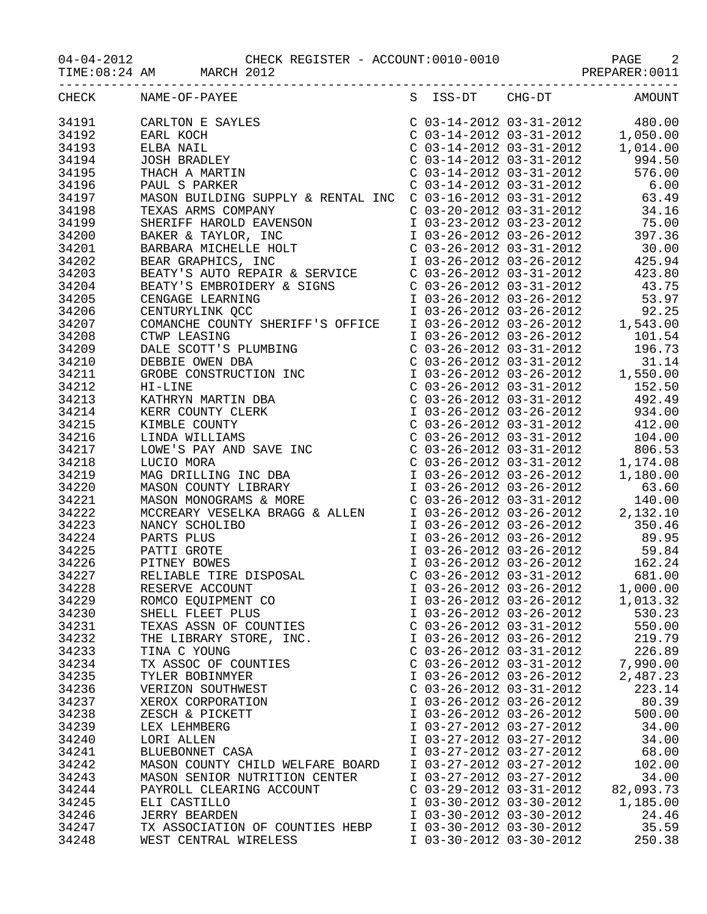TIME:08:24 AM MARCH 2012 2001 PREPARER:0011

| CHECK | NAME-OF-PAYEE                    |                           |                         | S ISS-DT CHG-DT AMOUNT |
|-------|----------------------------------|---------------------------|-------------------------|------------------------|
|       |                                  |                           |                         |                        |
|       |                                  |                           |                         |                        |
|       |                                  |                           |                         |                        |
|       |                                  |                           |                         |                        |
|       |                                  |                           |                         |                        |
|       |                                  |                           |                         |                        |
|       |                                  |                           |                         |                        |
|       |                                  |                           |                         |                        |
|       |                                  |                           |                         |                        |
|       |                                  |                           |                         |                        |
|       |                                  |                           |                         |                        |
|       |                                  |                           |                         |                        |
|       |                                  |                           |                         |                        |
|       |                                  |                           |                         |                        |
|       |                                  |                           |                         |                        |
|       |                                  |                           |                         |                        |
|       |                                  |                           |                         |                        |
|       |                                  |                           |                         |                        |
|       |                                  |                           |                         |                        |
|       |                                  |                           |                         |                        |
|       |                                  |                           |                         |                        |
|       |                                  |                           |                         |                        |
|       |                                  |                           |                         |                        |
|       |                                  |                           |                         |                        |
|       |                                  |                           |                         |                        |
|       |                                  |                           |                         |                        |
|       |                                  |                           |                         |                        |
|       |                                  |                           |                         |                        |
|       |                                  |                           |                         |                        |
|       |                                  |                           |                         |                        |
|       |                                  |                           |                         |                        |
|       |                                  |                           |                         |                        |
|       |                                  |                           |                         |                        |
|       |                                  |                           |                         |                        |
|       |                                  |                           |                         |                        |
|       |                                  |                           |                         |                        |
|       |                                  |                           |                         |                        |
|       |                                  |                           |                         |                        |
|       |                                  |                           |                         |                        |
| 34229 | ROMCO EQUIPMENT CO               |                           | I 03-26-2012 03-26-2012 | 1,013.32               |
| 34230 | SHELL FLEET PLUS                 | I 03-26-2012 03-26-2012   |                         | 530.23                 |
| 34231 | TEXAS ASSN OF COUNTIES           | $C$ 03-26-2012 03-31-2012 |                         | 550.00                 |
| 34232 | THE LIBRARY STORE, INC.          |                           | I 03-26-2012 03-26-2012 | 219.79                 |
| 34233 | TINA C YOUNG                     | $C$ 03-26-2012 03-31-2012 |                         | 226.89                 |
| 34234 | TX ASSOC OF COUNTIES             | $C$ 03-26-2012 03-31-2012 |                         | 7,990.00               |
| 34235 | TYLER BOBINMYER                  | I 03-26-2012 03-26-2012   |                         | 2,487.23               |
| 34236 | VERIZON SOUTHWEST                | $C$ 03-26-2012 03-31-2012 |                         | 223.14                 |
| 34237 | XEROX CORPORATION                | I 03-26-2012 03-26-2012   |                         | 80.39                  |
| 34238 | ZESCH & PICKETT                  | I 03-26-2012 03-26-2012   |                         | 500.00                 |
| 34239 | LEX LEHMBERG                     | I 03-27-2012 03-27-2012   |                         | 34.00                  |
| 34240 | LORI ALLEN                       | I 03-27-2012 03-27-2012   |                         | 34.00                  |
| 34241 | BLUEBONNET CASA                  | I 03-27-2012 03-27-2012   |                         | 68.00                  |
| 34242 |                                  | I 03-27-2012 03-27-2012   |                         | 102.00                 |
| 34243 | MASON COUNTY CHILD WELFARE BOARD | I 03-27-2012 03-27-2012   |                         | 34.00                  |
|       | MASON SENIOR NUTRITION CENTER    |                           |                         |                        |
| 34244 | PAYROLL CLEARING ACCOUNT         | $C$ 03-29-2012 03-31-2012 |                         | 82,093.73              |
| 34245 | ELI CASTILLO                     | I 03-30-2012 03-30-2012   |                         | 1,185.00               |
| 34246 | <b>JERRY BEARDEN</b>             | I 03-30-2012 03-30-2012   |                         | 24.46                  |
| 34247 | TX ASSOCIATION OF COUNTIES HEBP  | I 03-30-2012 03-30-2012   |                         | 35.59                  |
| 34248 | WEST CENTRAL WIRELESS            | I 03-30-2012 03-30-2012   |                         | 250.38                 |